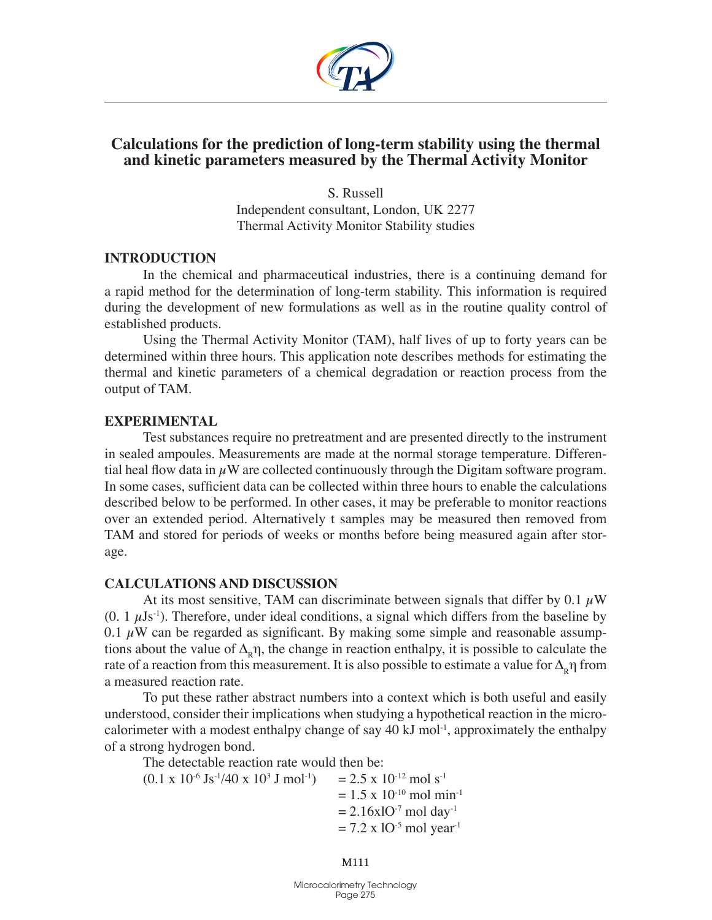

# **Calculations for the prediction of long-term stability using the thermal and kinetic parameters measured by the Thermal Activity Monitor**

S. Russell Independent consultant, London, UK 2277 Thermal Activity Monitor Stability studies

### **Introduction**

In the chemical and pharmaceutical industries, there is a continuing demand for a rapid method for the determination of long-term stability. This information is required during the development of new formulations as well as in the routine quality control of established products.

Using the Thermal Activity Monitor (TAM), half lives of up to forty years can be determined within three hours. This application note describes methods for estimating the thermal and kinetic parameters of a chemical degradation or reaction process from the output of TAM.

## **Experimental**

Test substances require no pretreatment and are presented directly to the instrument in sealed ampoules. Measurements are made at the normal storage temperature. Differential heal flow data in  $\mu$ W are collected continuously through the Digitam software program. In some cases, sufficient data can be collected within three hours to enable the calculations described below to be performed. In other cases, it may be preferable to monitor reactions over an extended period. Alternatively t samples may be measured then removed from TAM and stored for periods of weeks or months before being measured again after storage.

## **Calculations and discussion**

At its most sensitive, TAM can discriminate between signals that differ by 0.1  $\mu$ W  $(0. 1 \mu Js^{-1})$ . Therefore, under ideal conditions, a signal which differs from the baseline by 0.1  $\mu$ W can be regarded as significant. By making some simple and reasonable assumptions about the value of  $\Delta_{\rm R}$ η, the change in reaction enthalpy, it is possible to calculate the rate of a reaction from this measurement. It is also possible to estimate a value for  $\Delta_{R}$ η from a measured reaction rate.

To put these rather abstract numbers into a context which is both useful and easily understood, consider their implications when studying a hypothetical reaction in the microcalorimeter with a modest enthalpy change of say  $40 \text{ kJ}$  mol<sup>-1</sup>, approximately the enthalpy of a strong hydrogen bond.

The detectable reaction rate would then be:

 $(0.1 \times 10^{-6} \text{Js}^{-1}/40 \times 10^{3} \text{ J} \text{ mol}^{-1})$  $= 2.5 \times 10^{-12}$  mol s<sup>-1</sup>  $= 1.5$  x 10<sup>-10</sup> mol min<sup>-1</sup>  $= 2.16x10^{-7}$  mol day<sup>-1</sup>  $= 7.2$  x 10<sup>-5</sup> mol year<sup>-1</sup>